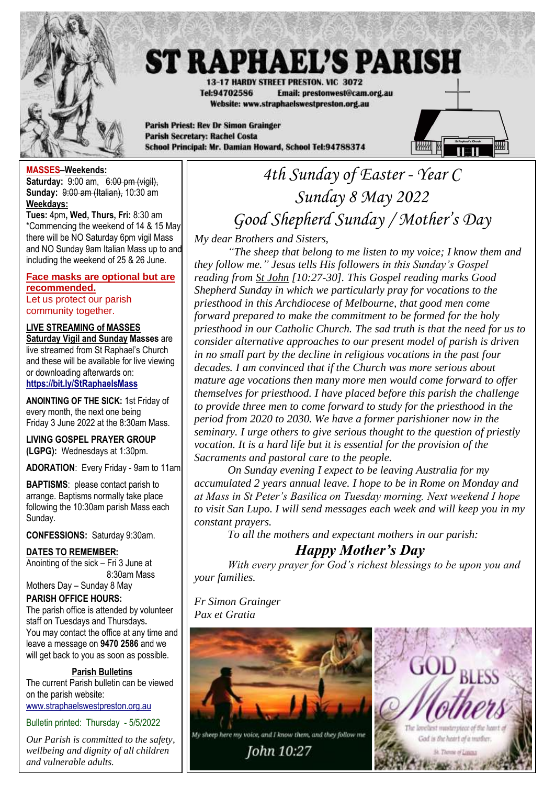

# **ST RAPHAEL'S PARISH**

**13-17 HARDY STREET PRESTON, VIC. 3072** Tel:94702586 Email: prestonwest@cam.org.au Website: www.straphaelswestpreston.org.au

**Parish Priest: Rev Dr Simon Grainger Parish Secretary: Rachel Costa** School Principal: Mr. Damian Howard, School Tel:94788374



### **MASSES–Weekends:**

**Saturday:** 9:00 am, 6:00 pm (vigil), **Sunday:** 9:00 am (Italian), 10:30 am **Weekdays:** 

**Tues:** 4pm**, Wed, Thurs, Fri:** 8:30 am \*Commencing the weekend of 14 & 15 May there will be NO Saturday 6pm vigil Mass and NO Sunday 9am Italian Mass up to and including the weekend of 25 & 26 June.

## **Face masks are optional but are recommended.**

Let us protect our parish community together.

## **LIVE STREAMING of MASSES**

**Saturday Vigil and Sunday Masses** are live streamed from St Raphael's Church and these will be available for live viewing or downloading afterwards on: **<https://bit.ly/StRaphaelsMass>**

**ANOINTING OF THE SICK:** 1st Friday of every month, the next one being Friday 3 June 2022 at the 8:30am Mass.

**LIVING GOSPEL PRAYER GROUP (LGPG):** Wednesdays at 1:30pm.

**ADORATION**: Every Friday - 9am to 11am.

**BAPTISMS**: please contact parish to arrange. Baptisms normally take place following the 10:30am parish Mass each Sunday.

**CONFESSIONS:** Saturday 9:30am.

**DATES TO REMEMBER:** Anointing of the sick – Fri 3 June at 8:30am Mass

## Mothers Day – Sunday 8 May **PARISH OFFICE HOURS:** The parish office is attended by volunteer

staff on Tuesdays and Thursdays**.** You may contact the office at any time and leave a message on **9470 2586** and we will get back to you as soon as possible.

## **Parish Bulletins**

The current Parish bulletin can be viewed on the parish website: [www.straphaelswestpreston.org.au](file:///D:/Google%20Drive/ST%20RAPHAEL)

Bulletin printed: Thursday - 5/5/2022

*Our Parish is committed to the safety, wellbeing and dignity of all children and vulnerable adults.*

## *4th Sunday of Easter - Year C Sunday 8 May 2022 Good Shepherd Sunday / Mother's Day*

*My dear Brothers and Sisters,*

*"The sheep that belong to me listen to my voice; I know them and they follow me." Jesus tells His followers in this Sunday's Gospel reading from St John [10:27-30]. This Gospel reading marks Good Shepherd Sunday in which we particularly pray for vocations to the priesthood in this Archdiocese of Melbourne, that good men come forward prepared to make the commitment to be formed for the holy priesthood in our Catholic Church. The sad truth is that the need for us to consider alternative approaches to our present model of parish is driven in no small part by the decline in religious vocations in the past four decades. I am convinced that if the Church was more serious about mature age vocations then many more men would come forward to offer themselves for priesthood. I have placed before this parish the challenge to provide three men to come forward to study for the priesthood in the period from 2020 to 2030. We have a former parishioner now in the seminary. I urge others to give serious thought to the question of priestly vocation. It is a hard life but it is essential for the provision of the Sacraments and pastoral care to the people.*

*On Sunday evening I expect to be leaving Australia for my accumulated 2 years annual leave. I hope to be in Rome on Monday and at Mass in St Peter's Basilica on Tuesday morning. Next weekend I hope to visit San Lupo. I will send messages each week and will keep you in my constant prayers.*

*To all the mothers and expectant mothers in our parish:*

## *Happy Mother's Day*

*With every prayer for God's richest blessings to be upon you and your families.*

*Fr Simon Grainger Pax et Gratia*

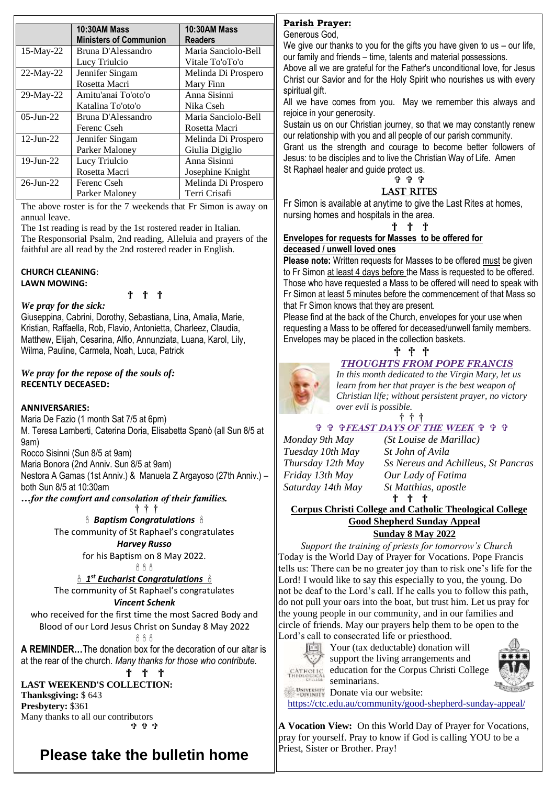|                 | <b>10:30AM Mass</b>           | <b>10:30AM Mass</b> |
|-----------------|-------------------------------|---------------------|
|                 | <b>Ministers of Communion</b> | <b>Readers</b>      |
| 15-May-22       | Bruna D'Alessandro            | Maria Sanciolo-Bell |
|                 | Lucy Triulcio                 | Vitale To'oTo'o     |
| $22$ -May-22    | Jennifer Singam               | Melinda Di Prospero |
|                 | Rosetta Macri                 | Mary Finn           |
| $29$ -May-22    | Amitu'anai To'oto'o           | Anna Sisinni        |
|                 | Katalina To'oto'o             | Nika Cseh           |
| $05$ -Jun-22    | Bruna D'Alessandro            | Maria Sanciolo-Bell |
|                 | Ferenc Cseh                   | Rosetta Macri       |
| $12$ -Jun- $22$ | Jennifer Singam               | Melinda Di Prospero |
|                 | Parker Maloney                | Giulia Digiglio     |
| $19$ -Jun-22    | Lucy Triulcio                 | Anna Sisinni        |
|                 | Rosetta Macri                 | Josephine Knight    |
| $26 - Jun - 22$ | Ferenc Cseh                   | Melinda Di Prospero |
|                 | Parker Maloney                | Terri Crisafi       |

The above roster is for the 7 weekends that Fr Simon is away on annual leave.

The 1st reading is read by the 1st rostered reader in Italian. The Responsorial Psalm, 2nd reading, Alleluia and prayers of the faithful are all read by the 2nd rostered reader in English.

#### **CHURCH CLEANING**: **LAWN MOWING:**

† † †

*We pray for the sick:* Giuseppina, Cabrini, Dorothy, Sebastiana, Lina, Amalia, Marie, Kristian, Raffaella, Rob, Flavio, Antonietta, Charleez, Claudia, Matthew, Elijah, Cesarina, Alfio, Annunziata, Luana, Karol, Lily, Wilma, Pauline, Carmela, Noah, Luca, Patrick

#### *We pray for the repose of the souls of:*  **RECENTLY DECEASED:**

#### **ANNIVERSARIES:**

Maria De Fazio (1 month Sat 7/5 at 6pm) M. Teresa Lamberti, Caterina Doria, Elisabetta Spanò (all Sun 8/5 at 9am)

Rocco Sisinni (Sun 8/5 at 9am)

Maria Bonora (2nd Anniv. Sun 8/5 at 9am)

Nestora A Gamas (1st Anniv.) & Manuela Z Argayoso (27th Anniv.) – both Sun 8/5 at 10:30am

*…for the comfort and consolation of their families.*

† † †

 *Baptism Congratulations*  The community of St Raphael's congratulates

*Harvey Russo*

for his Baptism on 8 May 2022.

AAA

 *1 st Eucharist Congratulations*  The community of St Raphael's congratulates

### *Vincent Schenk*

who received for the first time the most Sacred Body and Blood of our Lord Jesus Christ on Sunday 8 May 2022 AAA

**A REMINDER…**The donation box for the decoration of our altar is at the rear of the church. *Many thanks for those who contribute.*

† † †

**LAST WEEKEND'S COLLECTION: Thanksgiving:** \$ 643 **Presbytery:** \$361 Many thanks to all our contributors **ዕ የ የ** 

## **Please take the bulletin home**

## **Parish Prayer:**

Generous God,

We give our thanks to you for the gifts you have given to us - our life, our family and friends – time, talents and material possessions.

Above all we are grateful for the Father's unconditional love, for Jesus Christ our Savior and for the Holy Spirit who nourishes us with every spiritual gift.

All we have comes from you. May we remember this always and rejoice in your generosity.

Sustain us on our Christian journey, so that we may constantly renew our relationship with you and all people of our parish community.

Grant us the strength and courage to become better followers of Jesus: to be disciples and to live the Christian Way of Life. Amen St Raphael healer and guide protect us.

#### ቀቀቀ LAST RITES

Fr Simon is available at anytime to give the Last Rites at homes, nursing homes and hospitals in the area.

#### † † †

#### **Envelopes for requests for Masses to be offered for deceased / unwell loved ones**

**Please note:** Written requests for Masses to be offered must be given to Fr Simon at least 4 days before the Mass is requested to be offered. Those who have requested a Mass to be offered will need to speak with Fr Simon at least 5 minutes before the commencement of that Mass so that Fr Simon knows that they are present.

Please find at the back of the Church, envelopes for your use when requesting a Mass to be offered for deceased/unwell family members. Envelopes may be placed in the collection baskets.

## † † †

## *THOUGHTS FROM POPE FRANCIS*



*In this month dedicated to the Virgin Mary, let us learn from her that prayer is the best weapon of Christian life; without persistent prayer, no victory over evil is possible.* 

† † †

## **FEAST DAYS OF THE WEEK**

*Monday 9th May (St Louise de Marillac) Tuesday 10th May St John of Avila*

*Thursday 12th May Ss Nereus and Achilleus, St Pancras Friday 13th May Our Lady of Fatima Saturday 14th May St Matthias, apostle*

† † †

#### **Corpus Christi College and Catholic Theological College Good Shepherd Sunday Appeal Sunday 8 May 2022**

*Support the training of priests for tomorrow's Church* Today is the World Day of Prayer for Vocations. Pope Francis tells us: There can be no greater joy than to risk one's life for the Lord! I would like to say this especially to you, the young. Do not be deaf to the Lord's call. If he calls you to follow this path, do not pull your oars into the boat, but trust him. Let us pray for the young people in our community, and in our families and circle of friends. May our prayers help them to be open to the Lord's call to consecrated life or priesthood.

**Your (tax deductable) donation will** 



support the living arrangements and education for the Corpus Christi College seminarians. **DONATE DONATE DONATE Via our website:** 



**A Vocation View:** On this World Day of Prayer for Vocations, pray for yourself. Pray to know if God is calling YOU to be a Priest, Sister or Brother. Pray!

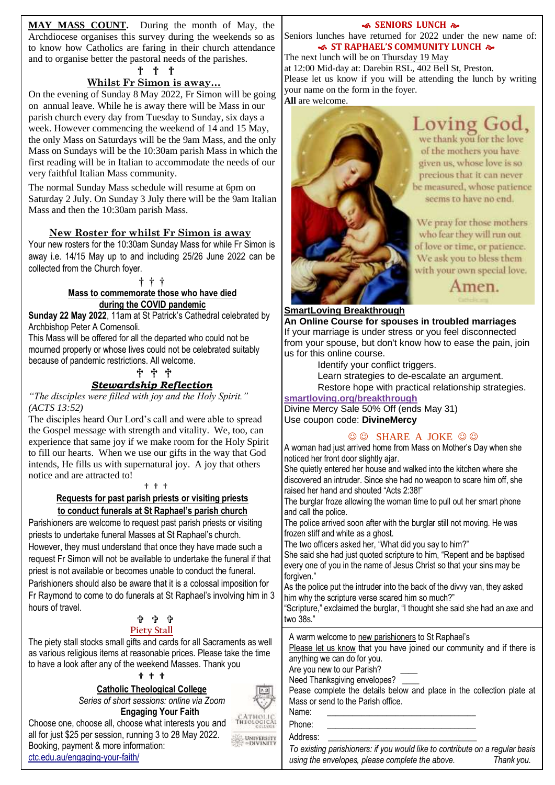**MAY MASS COUNT.** During the month of May, the Archdiocese organises this survey during the weekends so as to know how Catholics are faring in their church attendance and to organise better the pastoral needs of the parishes.

#### † † †

### **Whilst Fr Simon is away…**

On the evening of Sunday 8 May 2022, Fr Simon will be going on annual leave. While he is away there will be Mass in our parish church every day from Tuesday to Sunday, six days a week. However commencing the weekend of 14 and 15 May, the only Mass on Saturdays will be the 9am Mass, and the only Mass on Sundays will be the 10:30am parish Mass in which the first reading will be in Italian to accommodate the needs of our very faithful Italian Mass community.

The normal Sunday Mass schedule will resume at 6pm on Saturday 2 July. On Sunday 3 July there will be the 9am Italian Mass and then the 10:30am parish Mass.

#### **New Roster for whilst Fr Simon is away**

Your new rosters for the 10:30am Sunday Mass for while Fr Simon is away i.e. 14/15 May up to and including 25/26 June 2022 can be collected from the Church foyer.

#### † † †

#### **Mass to commemorate those who have died during the COVID pandemic**

**Sunday 22 May 2022**, 11am at St Patrick's Cathedral celebrated by Archbishop Peter A Comensoli.

This Mass will be offered for all the departed who could not be mourned properly or whose lives could not be celebrated suitably because of pandemic restrictions. All welcome.

## † † †

## *Stewardship Reflection*

*"The disciples were filled with joy and the Holy Spirit." (ACTS 13:52)*

The disciples heard Our Lord's call and were able to spread the Gospel message with strength and vitality. We, too, can experience that same joy if we make room for the Holy Spirit to fill our hearts. When we use our gifts in the way that God intends, He fills us with supernatural joy. A joy that others notice and are attracted to!

#### † † †

#### **Requests for past parish priests or visiting priests to conduct funerals at St Raphael's parish church**

Parishioners are welcome to request past parish priests or visiting priests to undertake funeral Masses at St Raphael's church. However, they must understand that once they have made such a request Fr Simon will not be available to undertake the funeral if that priest is not available or becomes unable to conduct the funeral. Parishioners should also be aware that it is a colossal imposition for Fr Raymond to come to do funerals at St Raphael's involving him in 3 hours of travel.

#### ቱ ቱ ቱ **Piety Stall**

The piety stall stocks small gifts and cards for all Sacraments as well as various religious items at reasonable prices. Please take the time to have a look after any of the weekend Masses. Thank you

#### **† † †**

#### **Catholic Theological College**

*Series of short sessions: online via Zoom* **Engaging Your Faith**

Choose one, choose all, choose what interests you and all for just \$25 per session, running 3 to 28 May 2022. Booking, payment & more information: [ctc.edu.au/engaging-your-faith/](https://ctc.edu.au/engaging-your-faith/)

#### **SENIORS LUNCH &**

Seniors lunches have returned for 2022 under the new name of:  **ST RAPHAEL'S COMMUNITY LUNCH** 

The next lunch will be on Thursday 19 May at 12:00 Mid-day at: Darebin RSL, 402 Bell St, Preston. Please let us know if you will be attending the lunch by writing your name on the form in the foyer. **All** are welcome.



## Loving God,

we thank you for the love of the mothers you have given us, whose love is so precious that it can never be measured, whose patience seems to have no end.

We pray for those mothers who fear they will run out of love or time, or patience. We ask you to bless them with your own special love.

Amen.

#### **SmartLoving Breakthrough**

**An Online Course for spouses in troubled marriages** If your marriage is under stress or you feel disconnected from your spouse, but don't know how to ease the pain, join us for this online course.

Identify your conflict triggers.

Learn strategies to de-escalate an argument. Restore hope with practical relationship strategies.

**[smartloving.org/breakthrough](https://aus01.safelinks.protection.outlook.com/?url=https%3A%2F%2Fpmrc.ontraport.com%2Fc%2Fs%2F2Q9%2FJ0Os%2F6%2Fvlq7%2F6m9%2F69gsJ5%2Fs2AkKJBwjQ%2FP%2FP%2FQX&data=05%7C01%7Cprestonwest%40cam.org.au%7C69519118326f4fbf3eca08da2d6164f8%7C48ee20c7c8ea423c8b28f19801e34193%7C0%7C0%7C637872193596322874%7CUnknown%7CTWFpbGZsb3d8eyJWIjoiMC4wLjAwMDAiLCJQIjoiV2luMzIiLCJBTiI6Ik1haWwiLCJXVCI6Mn0%3D%7C3000%7C%7C%7C&sdata=nK9uRkHeB%2FcbX0sjYSPYTrz48QQd9y1ZeE5dZbbqYTA%3D&reserved=0)**

Divine Mercy Sale 50% Off (ends May 31) Use coupon code: **DivineMercy**

#### $\odot$   $\odot$  SHARE A JOKE  $\odot$   $\odot$

A woman had just arrived home from Mass on Mother's Day when she noticed her front door slightly ajar.

She quietly entered her house and walked into the kitchen where she discovered an intruder. Since she had no weapon to scare him off, she raised her hand and shouted "Acts 2:38!"

The burglar froze allowing the woman time to pull out her smart phone and call the police.

The police arrived soon after with the burglar still not moving. He was frozen stiff and white as a ghost.

The two officers asked her, "What did you say to him?"

She said she had just quoted scripture to him, "Repent and be baptised every one of you in the name of Jesus Christ so that your sins may be forgiven."

As the police put the intruder into the back of the divvy van, they asked him why the scripture verse scared him so much?"

"Scripture," exclaimed the burglar, "I thought she said she had an axe and two 38s."

A warm welcome to new parishioners to St Raphael's

Please let us know that you have joined our community and if there is anything we can do for you.

Are you new to our Parish?

Need Thanksgiving envelopes?

Pease complete the details below and place in the collection plate at Mass or send to the Parish office.

Name:

Phone:

Address:

*To existing parishioners: if you would like to contribute on a regular basis using the envelopes, please complete the above. Thank you.*